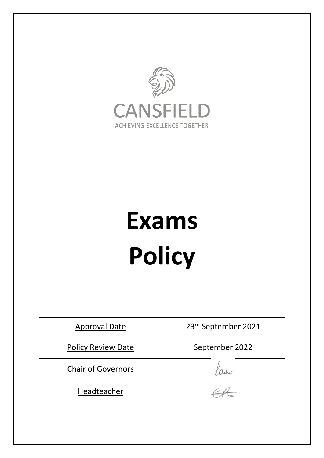

# **Exams Policy**

| <b>Approval Date</b>      | 23rd September 2021 |
|---------------------------|---------------------|
| <b>Policy Review Date</b> | September 2022      |
| <b>Chair of Governors</b> |                     |
| Headteacher               |                     |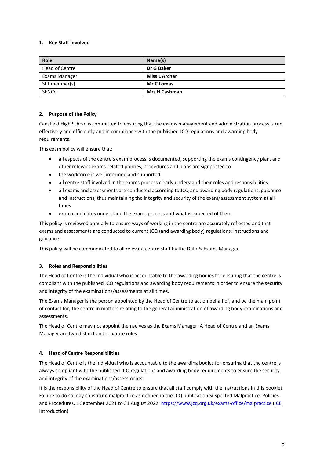# **1. Key Staff Involved**

| Role           | Name(s)              |
|----------------|----------------------|
| Head of Centre | Dr G Baker           |
| Exams Manager  | <b>Miss L Archer</b> |
| SLT member(s)  | <b>Mr C Lomas</b>    |
| SENCo          | <b>Mrs H Cashman</b> |

# **2. Purpose of the Policy**

Cansfield High School is committed to ensuring that the exams management and administration process is run effectively and efficiently and in compliance with the published JCQ regulations and awarding body requirements.

This exam policy will ensure that:

- all aspects of the centre's exam process is documented, supporting the exams contingency plan, and other relevant exams-related policies, procedures and plans are signposted to
- the workforce is well informed and supported
- all centre staff involved in the exams process clearly understand their roles and responsibilities
- all exams and assessments are conducted according to JCQ and awarding body regulations, guidance and instructions, thus maintaining the integrity and security of the exam/assessment system at all times
- exam candidates understand the exams process and what is expected of them

This policy is reviewed annually to ensure ways of working in the centre are accurately reflected and that exams and assessments are conducted to current JCQ (and awarding body) regulations, instructions and guidance.

This policy will be communicated to all relevant centre staff by the Data & Exams Manager.

# **3. Roles and Responsibilities**

The Head of Centre is the individual who is accountable to the awarding bodies for ensuring that the centre is compliant with the published JCQ regulations and awarding body requirements in order to ensure the security and integrity of the examinations/assessments at all times.

The Exams Manager is the person appointed by the Head of Centre to act on behalf of, and be the main point of contact for, the centre in matters relating to the general administration of awarding body examinations and assessments.

The Head of Centre may not appoint themselves as the Exams Manager. A Head of Centre and an Exams Manager are two distinct and separate roles.

# **4. Head of Centre Responsibilities**

The Head of Centre is the individual who is accountable to the awarding bodies for ensuring that the centre is always compliant with the published JCQ regulations and awarding body requirements to ensure the security and integrity of the examinations/assessments.

It is the responsibility of the Head of Centre to ensure that all staff comply with the instructions in this booklet. Failure to do so may constitute malpractice as defined in the JCQ publication Suspected Malpractice: Policies and Procedures, 1 September 2021 to 31 August 2022:<https://www.jcq.org.uk/exams-office/malpractice> [\(ICE](http://www.jcq.org.uk/exams-office/ice---instructions-for-conducting-examinations) Introduction)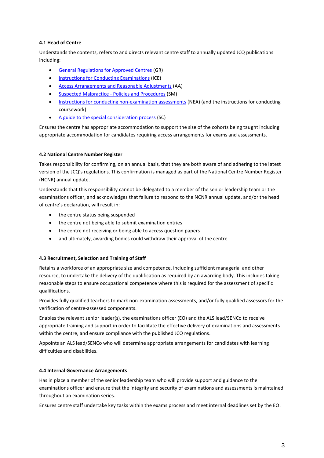# **4.1 Head of Centre**

Understands the contents, refers to and directs relevant centre staff to annually updated JCQ publications including:

- [General Regulations for Approved Centres](http://www.jcq.org.uk/exams-office/general-regulations) (GR)
- **•** [Instructions for Conducting Examinations](http://www.jcq.org.uk/exams-office/ice---instructions-for-conducting-examinations) (ICE)
- [Access Arrangements and Reasonable Adjustments](http://www.jcq.org.uk/exams-office/access-arrangements-and-special-consideration/regulations-and-guidance) (AA)
- [Suspected Malpractice -](http://www.jcq.org.uk/exams-office/malpractice) Policies and Procedures (SM)
- [Instructions for conducting non-examination assessments](http://www.jcq.org.uk/exams-office/non-examination-assessments) (NEA) (and the instructions for conducting coursework)
- [A guide to the special consideration process](http://www.jcq.org.uk/exams-office/access-arrangements-and-special-consideration/regulations-and-guidance) (SC)

Ensures the centre has appropriate accommodation to support the size of the cohorts being taught including appropriate accommodation for candidates requiring access arrangements for exams and assessments.

# **4.2 National Centre Number Register**

Takes responsibility for confirming, on an annual basis, that they are both aware of and adhering to the latest version of the JCQ's regulations. This confirmation is managed as part of the National Centre Number Register (NCNR) annual update.

Understands that this responsibility cannot be delegated to a member of the senior leadership team or the examinations officer, and acknowledges that failure to respond to the NCNR annual update, and/or the head of centre's declaration, will result in:

- the centre status being suspended
- the centre not being able to submit examination entries
- the centre not receiving or being able to access question papers
- and ultimately, awarding bodies could withdraw their approval of the centre

# **4.3 Recruitment, Selection and Training of Staff**

Retains a workforce of an appropriate size and competence, including sufficient managerial and other resource, to undertake the delivery of the qualification as required by an awarding body. This includes taking reasonable steps to ensure occupational competence where this is required for the assessment of specific qualifications.

Provides fully qualified teachers to mark non-examination assessments, and/or fully qualified assessors for the verification of centre-assessed components.

Enables the relevant senior leader(s), the examinations officer (EO) and the ALS lead/SENCo to receive appropriate training and support in order to facilitate the effective delivery of examinations and assessments within the centre, and ensure compliance with the published JCQ regulations.

Appoints an ALS lead/SENCo who will determine appropriate arrangements for candidates with learning difficulties and disabilities.

# **4.4 Internal Governance Arrangements**

Has in place a member of the senior leadership team who will provide support and guidance to the examinations officer and ensure that the integrity and security of examinations and assessments is maintained throughout an examination series.

Ensures centre staff undertake key tasks within the exams process and meet internal deadlines set by the EO.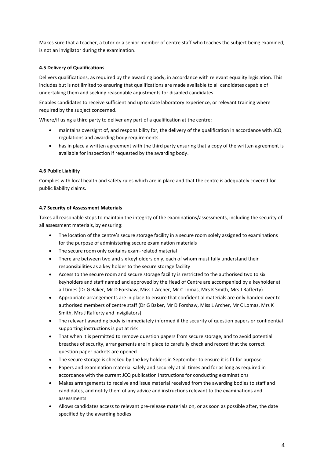Makes sure that a teacher, a tutor or a senior member of centre staff who teaches the subject being examined, is not an invigilator during the examination.

# **4.5 Delivery of Qualifications**

Delivers qualifications, as required by the awarding body, in accordance with relevant equality legislation. This includes but is not limited to ensuring that qualifications are made available to all candidates capable of undertaking them and seeking reasonable adjustments for disabled candidates.

Enables candidates to receive sufficient and up to date laboratory experience, or relevant training where required by the subject concerned.

Where/if using a third party to deliver any part of a qualification at the centre:

- maintains oversight of, and responsibility for, the delivery of the qualification in accordance with JCQ regulations and awarding body requirements.
- has in place a written agreement with the third party ensuring that a copy of the written agreement is available for inspection if requested by the awarding body.

## **4.6 Public Liability**

Complies with local health and safety rules which are in place and that the centre is adequately covered for public liability claims.

## **4.7 Security of Assessment Materials**

Takes all reasonable steps to maintain the integrity of the examinations/assessments, including the security of all assessment materials, by ensuring:

- The location of the centre's secure storage facility in a secure room solely assigned to examinations for the purpose of administering secure examination materials
- The secure room only contains exam-related material
- There are between two and six keyholders only, each of whom must fully understand their responsibilities as a key holder to the secure storage facility
- Access to the secure room and secure storage facility is restricted to the authorised two to six keyholders and staff named and approved by the Head of Centre are accompanied by a keyholder at all times (Dr G Baker, Mr D Forshaw, Miss L Archer, Mr C Lomas, Mrs K Smith, Mrs J Rafferty)
- Appropriate arrangements are in place to ensure that confidential materials are only handed over to authorised members of centre staff (Dr G Baker, Mr D Forshaw, Miss L Archer, Mr C Lomas, Mrs K Smith, Mrs J Rafferty and invigilators)
- The relevant awarding body is immediately informed if the security of question papers or confidential supporting instructions is put at risk
- That when it is permitted to remove question papers from secure storage, and to avoid potential breaches of security, arrangements are in place to carefully check and record that the correct question paper packets are opened
- The secure storage is checked by the key holders in September to ensure it is fit for purpose
- Papers and examination material safely and securely at all times and for as long as required in accordance with the current JCQ publication Instructions for conducting examinations
- Makes arrangements to receive and issue material received from the awarding bodies to staff and candidates, and notify them of any advice and instructions relevant to the examinations and assessments
- Allows candidates access to relevant pre-release materials on, or as soon as possible after, the date specified by the awarding bodies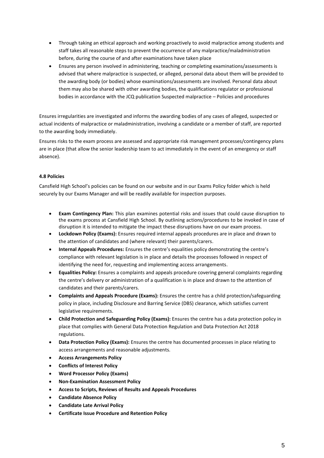- Through taking an ethical approach and working proactively to avoid malpractice among students and staff takes all reasonable steps to prevent the occurrence of any malpractice/maladministration before, during the course of and after examinations have taken place
- Ensures any person involved in administering, teaching or completing examinations/assessments is advised that where malpractice is suspected, or alleged, personal data about them will be provided to the awarding body (or bodies) whose examinations/assessments are involved. Personal data about them may also be shared with other awarding bodies, the qualifications regulator or professional bodies in accordance with the JCQ publication Suspected malpractice – Policies and procedures

Ensures irregularities are investigated and informs the awarding bodies of any cases of alleged, suspected or actual incidents of malpractice or maladministration, involving a candidate or a member of staff, are reported to the awarding body immediately.

Ensures risks to the exam process are assessed and appropriate risk management processes/contingency plans are in place (that allow the senior leadership team to act immediately in the event of an emergency or staff absence).

# **4.8 Policies**

Cansfield High School's policies can be found on our website and in our Exams Policy folder which is held securely by our Exams Manager and will be readily available for inspection purposes.

- **Exam Contingency Plan:** This plan examines potential risks and issues that could cause disruption to the exams process at Cansfield High School. By outlining actions/procedures to be invoked in case of disruption it is intended to mitigate the impact these disruptions have on our exam process.
- **Lockdown Policy (Exams):** Ensures required internal appeals procedures are in place and drawn to the attention of candidates and (where relevant) their parents/carers.
- **Internal Appeals Procedures:** Ensures the centre's equalities policy demonstrating the centre's compliance with relevant legislation is in place and details the processes followed in respect of identifying the need for, requesting and implementing access arrangements.
- **Equalities Policy:** Ensures a complaints and appeals procedure covering general complaints regarding the centre's delivery or administration of a qualification is in place and drawn to the attention of candidates and their parents/carers.
- **Complaints and Appeals Procedure (Exams):** Ensures the centre has a child protection/safeguarding policy in place, including Disclosure and Barring Service (DBS) clearance, which satisfies current legislative requirements.
- **Child Protection and Safeguarding Policy (Exams):** Ensures the centre has a data protection policy in place that complies with General Data Protection Regulation and Data Protection Act 2018 regulations.
- **Data Protection Policy (Exams):** Ensures the centre has documented processes in place relating to access arrangements and reasonable adjustments.
- **Access Arrangements Policy**
- **Conflicts of Interest Policy**
- **Word Processor Policy (Exams)**
- **Non-Examination Assessment Policy**
- **Access to Scripts, Reviews of Results and Appeals Procedures**
- **Candidate Absence Policy**
- **Candidate Late Arrival Policy**
- **Certificate Issue Procedure and Retention Policy**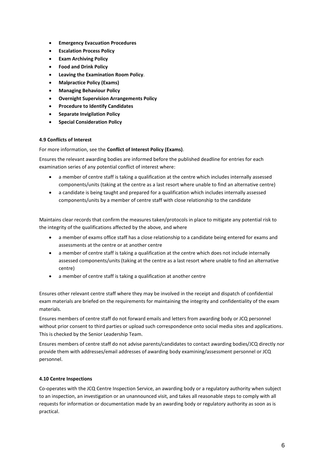- **Emergency Evacuation Procedures**
- **Escalation Process Policy**
- **Exam Archiving Policy**
- **Food and Drink Policy**
- **Leaving the Examination Room Policy**.
- **Malpractice Policy (Exams)**
- **Managing Behaviour Policy**
- **Overnight Supervision Arrangements Policy**
- **Procedure to Identify Candidates**
- **Separate Invigilation Policy**
- **Special Consideration Policy**

## **4.9 Conflicts of Interest**

For more information, see the **Conflict of Interest Policy (Exams)**.

Ensures the relevant awarding bodies are informed before the published deadline for entries for each examination series of any potential conflict of interest where:

- a member of centre staff is taking a qualification at the centre which includes internally assessed components/units (taking at the centre as a last resort where unable to find an alternative centre)
- a candidate is being taught and prepared for a qualification which includes internally assessed components/units by a member of centre staff with close relationship to the candidate

Maintains clear records that confirm the measures taken/protocols in place to mitigate any potential risk to the integrity of the qualifications affected by the above, and where

- a member of exams office staff has a close relationship to a candidate being entered for exams and assessments at the centre or at another centre
- a member of centre staff is taking a qualification at the centre which does not include internally assessed components/units (taking at the centre as a last resort where unable to find an alternative centre)
- a member of centre staff is taking a qualification at another centre

Ensures other relevant centre staff where they may be involved in the receipt and dispatch of confidential exam materials are briefed on the requirements for maintaining the integrity and confidentiality of the exam materials.

Ensures members of centre staff do not forward emails and letters from awarding body or JCQ personnel without prior consent to third parties or upload such correspondence onto social media sites and applications. This is checked by the Senior Leadership Team.

Ensures members of centre staff do not advise parents/candidates to contact awarding bodies/JCQ directly nor provide them with addresses/email addresses of awarding body examining/assessment personnel or JCQ personnel.

## **4.10 Centre Inspections**

Co-operates with the JCQ Centre Inspection Service, an awarding body or a regulatory authority when subject to an inspection, an investigation or an unannounced visit, and takes all reasonable steps to comply with all requests for information or documentation made by an awarding body or regulatory authority as soon as is practical.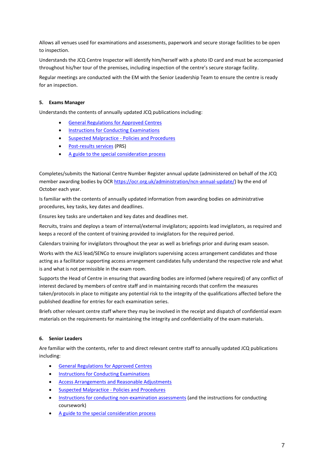Allows all venues used for examinations and assessments, paperwork and secure storage facilities to be open to inspection.

Understands the JCQ Centre Inspector will identify him/herself with a photo ID card and must be accompanied throughout his/her tour of the premises, including inspection of the centre's secure storage facility.

Regular meetings are conducted with the EM with the Senior Leadership Team to ensure the centre is ready for an inspection.

# **5. Exams Manager**

Understands the contents of annually updated JCQ publications including:

- [General Regulations for Approved Centres](http://www.jcq.org.uk/exams-office/general-regulations)
- [Instructions for Conducting Examinations](http://www.jcq.org.uk/exams-office/ice---instructions-for-conducting-examinations)
- **•** [Suspected Malpractice -](http://www.jcq.org.uk/exams-office/malpractice) Policies and Procedures
- [Post-results services](http://www.jcq.org.uk/exams-office/post-results-services) (PRS)
- [A guide to the special consideration process](https://www.jcq.org.uk/exams-office/access-arrangements-and-special-consideration/regulations-and-guidance/)

Completes/submits the National Centre Number Register annual update (administered on behalf of the JCQ member awarding bodies by OCR [https://ocr.org.uk/administration/ncn-annual-update/\)](https://ocr.org.uk/administration/ncn-annual-update/) by the end of October each year.

Is familiar with the contents of annually updated information from awarding bodies on administrative procedures, key tasks, key dates and deadlines.

Ensures key tasks are undertaken and key dates and deadlines met.

Recruits, trains and deploys a team of internal/external invigilators; appoints lead invigilators, as required and keeps a record of the content of training provided to invigilators for the required period.

Calendars training for invigilators throughout the year as well as briefings prior and during exam season.

Works with the ALS lead/SENCo to ensure invigilators supervising access arrangement candidates and those acting as a facilitator supporting access arrangement candidates fully understand the respective role and what is and what is not permissible in the exam room.

Supports the Head of Centre in ensuring that awarding bodies are informed (where required) of any conflict of interest declared by members of centre staff and in maintaining records that confirm the measures taken/protocols in place to mitigate any potential risk to the integrity of the qualifications affected before the published deadline for entries for each examination series.

Briefs other relevant centre staff where they may be involved in the receipt and dispatch of confidential exam materials on the requirements for maintaining the integrity and confidentiality of the exam materials.

## **6. Senior Leaders**

Are familiar with the contents, refer to and direct relevant centre staff to annually updated JCQ publications including:

- [General Regulations for Approved Centres](http://www.jcq.org.uk/exams-office/general-regulations)
- **•** [Instructions for Conducting Examinations](http://www.jcq.org.uk/exams-office/ice---instructions-for-conducting-examinations)
- [Access Arrangements and Reasonable Adjustments](http://www.jcq.org.uk/exams-office/access-arrangements-and-special-consideration/regulations-and-guidance)
- [Suspected Malpractice -](http://www.jcq.org.uk/exams-office/malpractice) Policies and Procedures
- **[Instructions for conducting non-examination assessments](http://www.jcq.org.uk/exams-office/non-examination-assessments) (and the instructions for conducting** coursework)
- [A guide to the special consideration process](http://www.jcq.org.uk/exams-office/access-arrangements-and-special-consideration/regulations-and-guidance)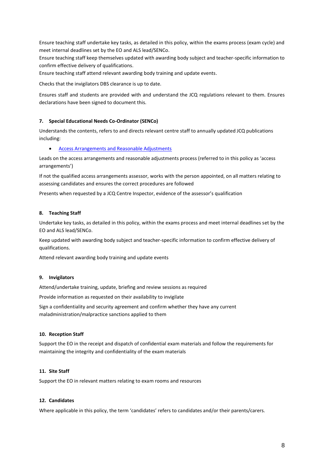Ensure teaching staff undertake key tasks, as detailed in this policy, within the exams process (exam cycle) and meet internal deadlines set by the EO and ALS lead/SENCo.

Ensure teaching staff keep themselves updated with awarding body subject and teacher-specific information to confirm effective delivery of qualifications.

Ensure teaching staff attend relevant awarding body training and update events.

Checks that the invigilators DBS clearance is up to date.

Ensures staff and students are provided with and understand the JCQ regulations relevant to them. Ensures declarations have been signed to document this.

## **7. Special Educational Needs Co-Ordinator (SENCo)**

Understands the contents, refers to and directs relevant centre staff to annually updated JCQ publications including:

[Access Arrangements and Reasonable Adjustments](http://www.jcq.org.uk/exams-office/access-arrangements-and-special-consideration/regulations-and-guidance)

Leads on the access arrangements and reasonable adjustments process (referred to in this policy as 'access arrangements')

If not the qualified access arrangements assessor, works with the person appointed, on all matters relating to assessing candidates and ensures the correct procedures are followed

Presents when requested by a JCQ Centre Inspector, evidence of the assessor's qualification

## **8. Teaching Staff**

Undertake key tasks, as detailed in this policy, within the exams process and meet internal deadlines set by the EO and ALS lead/SENCo.

Keep updated with awarding body subject and teacher-specific information to confirm effective delivery of qualifications.

Attend relevant awarding body training and update events

## **9. Invigilators**

Attend/undertake training, update, briefing and review sessions as required

Provide information as requested on their availability to invigilate

Sign a confidentiality and security agreement and confirm whether they have any current maladministration/malpractice sanctions applied to them

## **10. Reception Staff**

Support the EO in the receipt and dispatch of confidential exam materials and follow the requirements for maintaining the integrity and confidentiality of the exam materials

# **11. Site Staff**

Support the EO in relevant matters relating to exam rooms and resources

## **12. Candidates**

Where applicable in this policy, the term 'candidates' refers to candidates and/or their parents/carers.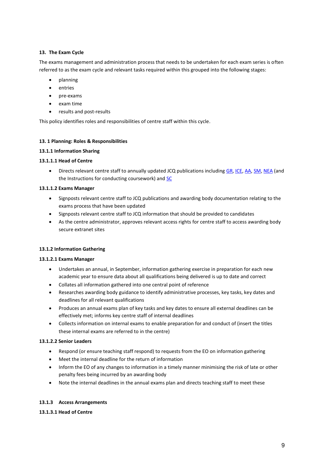# **13. The Exam Cycle**

The exams management and administration process that needs to be undertaken for each exam series is often referred to as the exam cycle and relevant tasks required within this grouped into the following stages:

- planning
- entries
- $\bullet$  pre-exams
- exam time
- results and post-results

This policy identifies roles and responsibilities of centre staff within this cycle.

## **13. 1 Planning: Roles & Responsibilities**

## **13.1.1 Information Sharing**

## **13.1.1.1 Head of Centre**

 Directs relevant centre staff to annually updated JCQ publications including [GR,](http://www.jcq.org.uk/exams-office/general-regulations) [ICE,](http://www.jcq.org.uk/exams-office/ice---instructions-for-conducting-examinations) [AA,](http://www.jcq.org.uk/exams-office/access-arrangements-and-special-consideration) [SM,](http://www.jcq.org.uk/exams-office/malpractice) [NEA](http://www.jcq.org.uk/exams-office/non-examination-assessments) (and the Instructions for conducting coursework) and [SC](http://www.jcq.org.uk/exams-office/access-arrangements-and-special-consideration/regulations-and-guidance)

## **13.1.1.2 Exams Manager**

- Signposts relevant centre staff to JCQ publications and awarding body documentation relating to the exams process that have been updated
- Signposts relevant centre staff to JCQ information that should be provided to candidates
- As the centre administrator, approves relevant access rights for centre staff to access awarding body secure extranet sites

## **13.1.2 Information Gathering**

## **13.1.2.1 Exams Manager**

- Undertakes an annual, in September, information gathering exercise in preparation for each new academic year to ensure data about all qualifications being delivered is up to date and correct
- Collates all information gathered into one central point of reference
- Researches awarding body guidance to identify administrative processes, key tasks, key dates and deadlines for all relevant qualifications
- Produces an annual exams plan of key tasks and key dates to ensure all external deadlines can be effectively met; informs key centre staff of internal deadlines
- Collects information on internal exams to enable preparation for and conduct of (insert the titles these internal exams are referred to in the centre)

## **13.1.2.2 Senior Leaders**

- Respond (or ensure teaching staff respond) to requests from the EO on information gathering
- Meet the internal deadline for the return of information
- Inform the EO of any changes to information in a timely manner minimising the risk of late or other penalty fees being incurred by an awarding body
- Note the internal deadlines in the annual exams plan and directs teaching staff to meet these

# **13.1.3 Access Arrangements**

## **13.1.3.1 Head of Centre**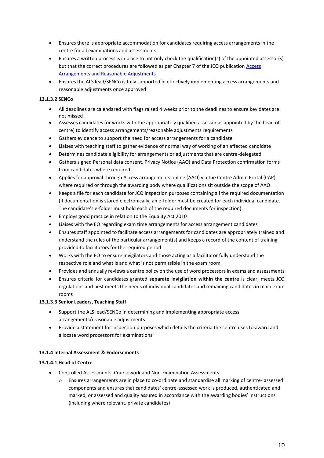- Ensures there is appropriate accommodation for candidates requiring access arrangements in the centre for all examinations and assessments
- Ensures a written process is in place to not only check the qualification(s) of the appointed assessor(s) but that the correct procedures are followed as per Chapter 7 of the JCQ publication Access [Arrangements and Reasonable Adjustments](http://www.jcq.org.uk/exams-office/access-arrangements-and-special-consideration/regulations-and-guidance)
- Ensures the ALS lead/SENCo is fully supported in effectively implementing access arrangements and reasonable adjustments once approved

# **13.1.3.2 SENCo**

- All deadlines are calendared with flags raised 4 weeks prior to the deadlines to ensure key dates are not missed
- Assesses candidates (or works with the appropriately qualified assessor as appointed by the head of centre) to identify access arrangements/reasonable adjustments requirements
- Gathers evidence to support the need for access arrangements for a candidate
- Liaises with teaching staff to gather evidence of normal way of working of an affected candidate
- Determines candidate eligibility for arrangements or adjustments that are centre-delegated
- Gathers signed Personal data consent, Privacy Notice (AAO) and Data Protection confirmation forms from candidates where required
- Applies for approval through Access arrangements online (AAO) via the Centre Admin Portal (CAP), where required or through the awarding body where qualifications sit outside the scope of AAO
- Keeps a file for each candidate for JCQ inspection purposes containing all the required documentation (if documentation is stored electronically, an e-folder must be created for each individual candidate. The candidate's e-folder must hold each of the required documents for inspection)
- Employs good practice in relation to the Equality Act 2010
- Liaises with the EO regarding exam time arrangements for access arrangement candidates
- Ensures staff appointed to facilitate access arrangements for candidates are appropriately trained and understand the rules of the particular arrangement(s) and keeps a record of the content of training provided to facilitators for the required period
- Works with the EO to ensure invigilators and those acting as a facilitator fully understand the respective role and what is and what is not permissible in the exam room
- Provides and annually reviews a centre policy on the use of word processors in exams and assessments
- Ensures criteria for candidates granted **separate invigilation within the centre** is clear, meets JCQ regulations and best meets the needs of individual candidates and remaining candidates in main exam rooms

# **13.1.3.3 Senior Leaders, Teaching Staff**

- Support the ALS lead/SENCo in determining and implementing appropriate access arrangements/reasonable adjustments
- Provide a statement for inspection purposes which details the criteria the centre uses to award and allocate word processors for examinations

# **13.1.4 Internal Assessment & Endorsements**

# **13.1.4.1 Head of Centre**

- Controlled Assessments, Coursework and Non-Examination Assessments
	- o Ensures arrangements are in place to co-ordinate and standardise all marking of centre- assessed components and ensures that candidates' centre-assessed work is produced, authenticated and marked, or assessed and quality assured in accordance with the awarding bodies' instructions (including where relevant, private candidates)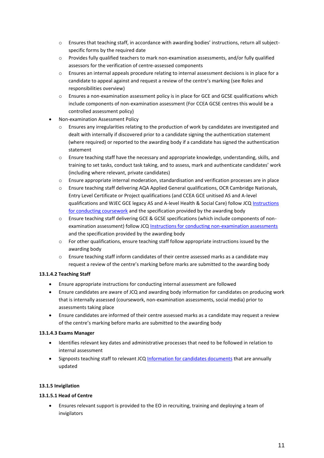- o Ensures that teaching staff, in accordance with awarding bodies' instructions, return all subjectspecific forms by the required date
- $\circ$  Provides fully qualified teachers to mark non-examination assessments, and/or fully qualified assessors for the verification of centre-assessed components
- o Ensures an internal appeals procedure relating to internal assessment decisions is in place for a candidate to appeal against and request a review of the centre's marking (see Roles and responsibilities overview)
- o Ensures a non-examination assessment policy is in place for GCE and GCSE qualifications which include components of non-examination assessment (For CCEA GCSE centres this would be a controlled assessment policy)
- Non-examination Assessment Policy
	- $\circ$  Ensures any irregularities relating to the production of work by candidates are investigated and dealt with internally if discovered prior to a candidate signing the authentication statement (where required) or reported to the awarding body if a candidate has signed the authentication statement
	- o Ensure teaching staff have the necessary and appropriate knowledge, understanding, skills, and training to set tasks, conduct task taking, and to assess, mark and authenticate candidates' work (including where relevant, private candidates)
	- o Ensure appropriate internal moderation, standardisation and verification processes are in place
	- o Ensure teaching staff delivering AQA Applied General qualifications, OCR Cambridge Nationals, Entry Level Certificate or Project qualifications (and CCEA GCE unitised AS and A-level qualifications and WJEC GCE legacy AS and A-level Health & Social Care) follow JC[Q Instructions](http://www.jcq.org.uk/exams-office/coursework)  [for conducting coursework](http://www.jcq.org.uk/exams-office/coursework) and the specification provided by the awarding body
	- o Ensure teaching staff delivering GCE & GCSE specifications (which include components of nonexamination assessment) follow JCQ [Instructions for conducting non-examination assessments](http://www.jcq.org.uk/exams-office/non-examination-assessments) and the specification provided by the awarding body
	- $\circ$  For other qualifications, ensure teaching staff follow appropriate instructions issued by the awarding body
	- o Ensure teaching staff inform candidates of their centre assessed marks as a candidate may request a review of the centre's marking before marks are submitted to the awarding body

# **13.1.4.2 Teaching Staff**

- Ensure appropriate instructions for conducting internal assessment are followed
- Ensure candidates are aware of JCQ and awarding body information for candidates on producing work that is internally assessed (coursework, non-examination assessments, social media) prior to assessments taking place
- Ensure candidates are informed of their centre assessed marks as a candidate may request a review of the centre's marking before marks are submitted to the awarding body

# **13.1.4.3 Exams Manager**

- Identifies relevant key dates and administrative processes that need to be followed in relation to internal assessment
- Signposts teaching staff to relevant JC[Q Information for candidates documents](https://www.jcq.org.uk/exams-office/information-for-candidates-documents/) that are annually updated

# **13.1.5 Invigilation**

# **13.1.5.1 Head of Centre**

 Ensures relevant support is provided to the EO in recruiting, training and deploying a team of invigilators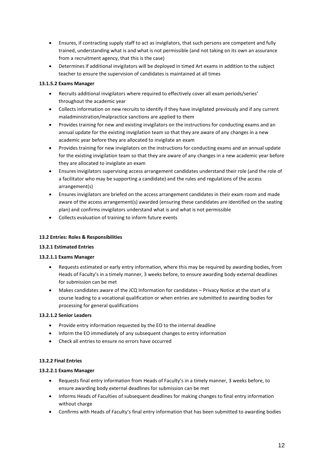- Ensures, if contracting supply staff to act as invigilators, that such persons are competent and fully trained, understanding what is and what is not permissible (and not taking on its own an assurance from a recruitment agency, that this is the case)
- Determines if additional invigilators will be deployed in timed Art exams in addition to the subject teacher to ensure the supervision of candidates is maintained at all times

# **13.1.5.2 Exams Manager**

- Recruits additional invigilators where required to effectively cover all exam periods/series' throughout the academic year
- Collects information on new recruits to identify if they have invigilated previously and if any current maladministration/malpractice sanctions are applied to them
- Provides training for new and existing invigilators on the instructions for conducting exams and an annual update for the existing invigilation team so that they are aware of any changes in a new academic year before they are allocated to invigilate an exam
- Provides training for new invigilators on the instructions for conducting exams and an annual update for the existing invigilation team so that they are aware of any changes in a new academic year before they are allocated to invigilate an exam
- Ensures invigilators supervising access arrangement candidates understand their role (and the role of a facilitator who may be supporting a candidate) and the rules and regulations of the access arrangement(s)
- Ensures invigilators are briefed on the access arrangement candidates in their exam room and made aware of the access arrangement(s) awarded (ensuring these candidates are identified on the seating plan) and confirms invigilators understand what is and what is not permissible
- Collects evaluation of training to inform future events

# **13.2 Entries: Roles & Responsibilities**

# **13.2.1 Estimated Entries**

# **13.2.1.1 Exams Manager**

- Requests estimated or early entry information, where this may be required by awarding bodies, from Heads of Faculty's in a timely manner, 3 weeks before, to ensure awarding body external deadlines for submission can be met
- Makes candidates aware of the JCQ Information for candidates Privacy Notice at the start of a course leading to a vocational qualification or when entries are submitted to awarding bodies for processing for general qualifications

# **13.2.1.2 Senior Leaders**

- Provide entry information requested by the EO to the internal deadline
- Inform the EO immediately of any subsequent changes to entry information
- Check all entries to ensure no errors have occurred

# **13.2.2 Final Entries**

# **13.2.2.1 Exams Manager**

- Requests final entry information from Heads of Faculty's in a timely manner, 3 weeks before, to ensure awarding body external deadlines for submission can be met
- Informs Heads of Faculties of subsequent deadlines for making changes to final entry information without charge
- Confirms with Heads of Faculty's final entry information that has been submitted to awarding bodies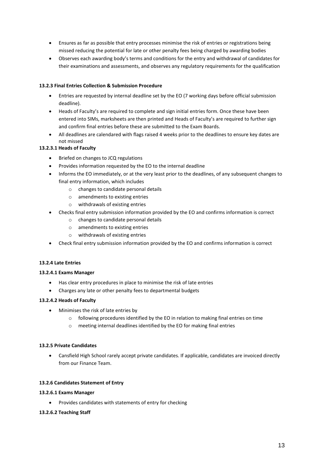- Ensures as far as possible that entry processes minimise the risk of entries or registrations being missed reducing the potential for late or other penalty fees being charged by awarding bodies
- Observes each awarding body's terms and conditions for the entry and withdrawal of candidates for their examinations and assessments, and observes any regulatory requirements for the qualification

## **13.2.3 Final Entries Collection & Submission Procedure**

- Entries are requested by internal deadline set by the EO (7 working days before official submission deadline).
- Heads of Faculty's are required to complete and sign initial entries form. Once these have been entered into SIMs, marksheets are then printed and Heads of Faculty's are required to further sign and confirm final entries before these are submitted to the Exam Boards.
- All deadlines are calendared with flags raised 4 weeks prior to the deadlines to ensure key dates are not missed

# **13.2.3.1 Heads of Faculty**

- Briefed on changes to JCQ regulations
- Provides information requested by the EO to the internal deadline
- Informs the EO immediately, or at the very least prior to the deadlines, of any subsequent changes to final entry information, which includes
	- o changes to candidate personal details
	- o amendments to existing entries
	- o withdrawals of existing entries
- Checks final entry submission information provided by the EO and confirms information is correct
	- o changes to candidate personal details
	- o amendments to existing entries
	- o withdrawals of existing entries
- Check final entry submission information provided by the EO and confirms information is correct

## **13.2.4 Late Entries**

## **13.2.4.1 Exams Manager**

- Has clear entry procedures in place to minimise the risk of late entries
- Charges any late or other penalty fees to departmental budgets

## **13.2.4.2 Heads of Faculty**

- Minimises the risk of late entries by
	- o following procedures identified by the EO in relation to making final entries on time
	- o meeting internal deadlines identified by the EO for making final entries

## **13.2.5 Private Candidates**

 Cansfield High School rarely accept private candidates. If applicable, candidates are invoiced directly from our Finance Team.

## **13.2.6 Candidates Statement of Entry**

## **13.2.6.1 Exams Manager**

Provides candidates with statements of entry for checking

## **13.2.6.2 Teaching Staff**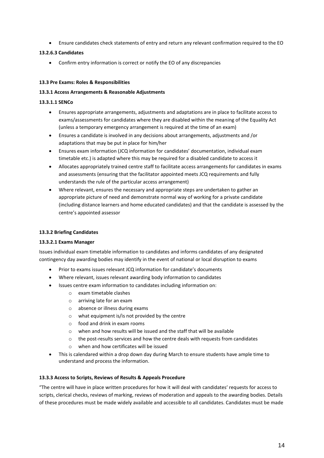Ensure candidates check statements of entry and return any relevant confirmation required to the EO

## **13.2.6.3 Candidates**

Confirm entry information is correct or notify the EO of any discrepancies

## **13.3 Pre Exams: Roles & Responsibilities**

## **13.3.1 Access Arrangements & Reasonable Adjustments**

## **13.3.1.1 SENCo**

- Ensures appropriate arrangements, adjustments and adaptations are in place to facilitate access to exams/assessments for candidates where they are disabled within the meaning of the Equality Act (unless a temporary emergency arrangement is required at the time of an exam)
- Ensures a candidate is involved in any decisions about arrangements, adjustments and /or adaptations that may be put in place for him/her
- Ensures exam information (JCQ information for candidates' documentation, individual exam timetable etc.) is adapted where this may be required for a disabled candidate to access it
- Allocates appropriately trained centre staff to facilitate access arrangements for candidates in exams and assessments (ensuring that the facilitator appointed meets JCQ requirements and fully understands the rule of the particular access arrangement)
- Where relevant, ensures the necessary and appropriate steps are undertaken to gather an appropriate picture of need and demonstrate normal way of working for a private candidate (including distance learners and home educated candidates) and that the candidate is assessed by the centre's appointed assessor

# **13.3.2 Briefing Candidates**

## **13.3.2.1 Exams Manager**

Issues individual exam timetable information to candidates and informs candidates of any designated contingency day awarding bodies may identify in the event of national or local disruption to exams

- Prior to exams issues relevant JCQ information for candidate's documents
- Where relevant, issues relevant awarding body information to candidates
- Issues centre exam information to candidates including information on:
	- o exam timetable clashes
	- o arriving late for an exam
	- o absence or illness during exams
	- o what equipment is/is not provided by the centre
	- o food and drink in exam rooms
	- o when and how results will be issued and the staff that will be available
	- $\circ$  the post-results services and how the centre deals with requests from candidates
	- o when and how certificates will be issued
- This is calendared within a drop down day during March to ensure students have ample time to understand and process the information.

## **13.3.3 Access to Scripts, Reviews of Results & Appeals Procedure**

"The centre will have in place written procedures for how it will deal with candidates' requests for access to scripts, clerical checks, reviews of marking, reviews of moderation and appeals to the awarding bodies. Details of these procedures must be made widely available and accessible to all candidates. Candidates must be made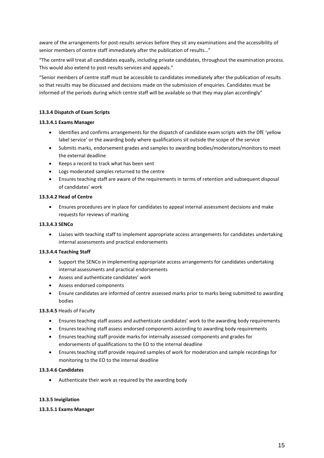aware of the arrangements for post-results services before they sit any examinations and the accessibility of senior members of centre staff immediately after the publication of results…"

"The centre will treat all candidates equally, including private candidates, throughout the examination process. This would also extend to post-results services and appeals."

"Senior members of centre staff must be accessible to candidates immediately after the publication of results so that results may be discussed and decisions made on the submission of enquiries. Candidates must be informed of the periods during which centre staff will be available so that they may plan accordingly"

## **13.3.4 Dispatch of Exam Scripts**

## **13.3.4.1 Exams Manager**

- Identifies and confirms arrangements for the dispatch of candidate exam scripts with the DfE 'yellow label service' or the awarding body where qualifications sit outside the scope of the service
- Submits marks, endorsement grades and samples to awarding bodies/moderators/monitors to meet the external deadline
- Keeps a record to track what has been sent
- Logs moderated samples returned to the centre
- Ensures teaching staff are aware of the requirements in terms of retention and subsequent disposal of candidates' work

#### **13.3.4.2 Head of Centre**

 Ensures procedures are in place for candidates to appeal internal assessment decisions and make requests for reviews of marking

#### **13.3.4.3 SENCo**

 Liaises with teaching staff to implement appropriate access arrangements for candidates undertaking internal assessments and practical endorsements

## **13.3.4.4 Teaching Staff**

- Support the SENCo in implementing appropriate access arrangements for candidates undertaking internal assessments and practical endorsements
- Assess and authenticate candidates' work
- Assess endorsed components
- Ensure candidates are informed of centre assessed marks prior to marks being submitted to awarding bodies

## **13.3.4.5** Heads of Faculty

- Ensures teaching staff assess and authenticate candidates' work to the awarding body requirements
- Ensures teaching staff assess endorsed components according to awarding body requirements
- Ensures teaching staff provide marks for internally assessed components and grades for endorsements of qualifications to the EO to the internal deadline
- Ensures teaching staff provide required samples of work for moderation and sample recordings for monitoring to the EO to the internal deadline

## **13.3.4.6 Candidates**

Authenticate their work as required by the awarding body

## **13.3.5 Invigilation**

#### **13.3.5.1 Exams Manager**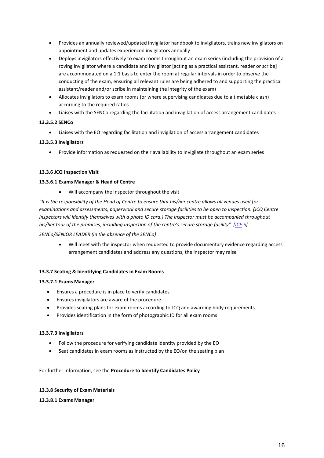- Provides an annually reviewed/updated invigilator handbook to invigilators, trains new invigilators on appointment and updates experienced invigilators annually
- Deploys invigilators effectively to exam rooms throughout an exam series (including the provision of a roving invigilator where a candidate and invigilator [acting as a practical assistant, reader or scribe] are accommodated on a 1:1 basis to enter the room at regular intervals in order to observe the conducting of the exam, ensuring all relevant rules are being adhered to and supporting the practical assistant/reader and/or scribe in maintaining the integrity of the exam)
- Allocates invigilators to exam rooms (or where supervising candidates due to a timetable clash) according to the required ratios
- Liaises with the SENCo regarding the facilitation and invigilation of access arrangement candidates

# **13.3.5.2 SENCo**

Liaises with the EO regarding facilitation and invigilation of access arrangement candidates

# **13.3.5.3 Invigilators**

Provide information as requested on their availability to invigilate throughout an exam series

# **13.3.6 JCQ Inspection Visit**

# **13.3.6.1 Exams Manager & Head of Centre**

Will accompany the Inspector throughout the visit

*"It is the responsibility of the Head of Centre to ensure that his/her centre allows all venues used for examinations and assessments, paperwork and secure storage facilities to be open to inspection. (JCQ Centre Inspectors will identify themselves with a photo ID card.) The Inspector must be accompanied throughout his/her tour of the premises, including inspection of the centre's secure storage facility" [[ICE](http://www.jcq.org.uk/exams-office/ice---instructions-for-conducting-examinations) 5]*

# *SENCo/SENIOR LEADER (in the absence of the SENCo)*

 Will meet with the inspector when requested to provide documentary evidence regarding access arrangement candidates and address any questions, the inspector may raise

# **13.3.7 Seating & Identifying Candidates in Exam Rooms**

# **13.3.7.1 Exams Manager**

- Ensures a procedure is in place to verify candidates
- Ensures invigilators are aware of the procedure
- Provides seating plans for exam rooms according to JCQ and awarding body requirements
- Provides identification in the form of photographic ID for all exam rooms

# **13.3.7.3 Invigilators**

- Follow the procedure for verifying candidate identity provided by the EO
- Seat candidates in exam rooms as instructed by the EO/on the seating plan

# For further information, see the **Procedure to Identify Candidates Policy**

# **13.3.8 Security of Exam Materials**

# **13.3.8.1 Exams Manager**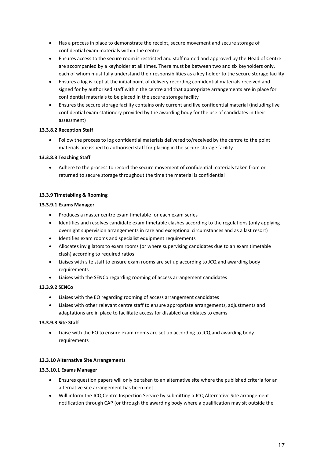- Has a process in place to demonstrate the receipt, secure movement and secure storage of confidential exam materials within the centre
- Ensures access to the secure room is restricted and staff named and approved by the Head of Centre are accompanied by a keyholder at all times. There must be between two and six keyholders only, each of whom must fully understand their responsibilities as a key holder to the secure storage facility
- Ensures a log is kept at the initial point of delivery recording confidential materials received and signed for by authorised staff within the centre and that appropriate arrangements are in place for confidential materials to be placed in the secure storage facility
- Ensures the secure storage facility contains only current and live confidential material (including live confidential exam stationery provided by the awarding body for the use of candidates in their assessment)

# **13.3.8.2 Reception Staff**

 Follow the process to log confidential materials delivered to/received by the centre to the point materials are issued to authorised staff for placing in the secure storage facility

# **13.3.8.3 Teaching Staff**

 Adhere to the process to record the secure movement of confidential materials taken from or returned to secure storage throughout the time the material is confidential

# **13.3.9 Timetabling & Rooming**

# **13.3.9.1 Exams Manager**

- Produces a master centre exam timetable for each exam series
- Identifies and resolves candidate exam timetable clashes according to the regulations (only applying overnight supervision arrangements in rare and exceptional circumstances and as a last resort)
- Identifies exam rooms and specialist equipment requirements
- Allocates invigilators to exam rooms (or where supervising candidates due to an exam timetable clash) according to required ratios
- Liaises with site staff to ensure exam rooms are set up according to JCQ and awarding body requirements
- Liaises with the SENCo regarding rooming of access arrangement candidates

# **13.3.9.2 SENCo**

- Liaises with the EO regarding rooming of access arrangement candidates
- Liaises with other relevant centre staff to ensure appropriate arrangements, adjustments and adaptations are in place to facilitate access for disabled candidates to exams

# **13.3.9.3 Site Staff**

 Liaise with the EO to ensure exam rooms are set up according to JCQ and awarding body requirements

# **13.3.10 Alternative Site Arrangements**

# **13.3.10.1 Exams Manager**

- Ensures question papers will only be taken to an alternative site where the published criteria for an alternative site arrangement has been met
- Will inform the JCQ Centre Inspection Service by submitting a JCQ Alternative Site arrangement notification through CAP (or through the awarding body where a qualification may sit outside the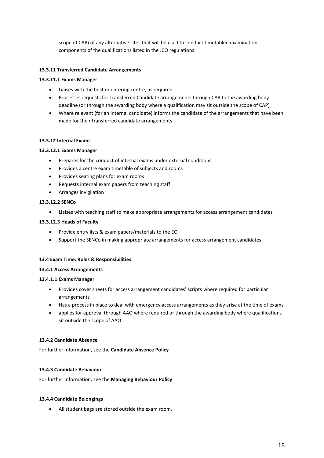scope of CAP) of any alternative sites that will be used to conduct timetabled examination components of the qualifications listed in the JCQ regulations

## **13.3.11 Transferred Candidate Arrangements**

## **13.3.11.1 Exams Manager**

- Liaises with the host or entering centre, as required
- Processes requests for Transferred Candidate arrangements through CAP to the awarding body deadline (or through the awarding body where a qualification may sit outside the scope of CAP)
- Where relevant (for an internal candidate) informs the candidate of the arrangements that have been made for their transferred candidate arrangements

## **13.3.12 Internal Exams**

## **13.3.12.1 Exams Manager**

- Prepares for the conduct of internal exams under external conditions
- Provides a centre exam timetable of subjects and rooms
- Provides seating plans for exam rooms
- Requests internal exam papers from teaching staff
- Arranges invigilation

## **13.3.12.2 SENCo**

Liaises with teaching staff to make appropriate arrangements for access arrangement candidates

## **13.3.12.3 Heads of Faculty**

- Provide entry lists & exam papers/materials to the EO
- Support the SENCo in making appropriate arrangements for access arrangement candidates

## **13.4 Exam Time: Roles & Responsibilities**

## **13.4.1 Access Arrangements**

## **13.4.1.1 Exams Manager**

- Provides cover sheets for access arrangement candidates' scripts where required for particular arrangements
- Has a process in place to deal with emergency access arrangements as they arise at the time of exams
- applies for approval through AAO where required or through the awarding body where qualifications sit outside the scope of AAO

## **13.4.2 Candidate Absence**

For further information, see the **Candidate Absence Policy**

## **13.4.3 Candidate Behaviour**

For further information, see the **Managing Behaviour Policy**

## **13.4.4 Candidate Belongings**

All student bags are stored outside the exam room.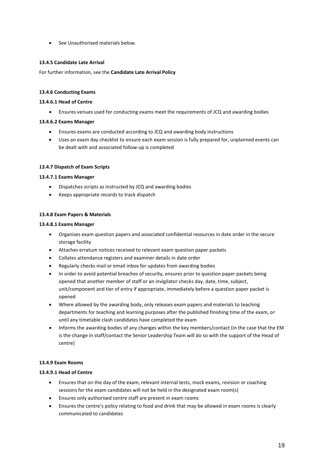• See Unauthorised materials below.

## **13.4.5 Candidate Late Arrival**

For further information, see the **Candidate Late Arrival Policy**

## **13.4.6 Conducting Exams**

## **13.4.6.1 Head of Centre**

Ensures venues used for conducting exams meet the requirements of JCQ and awarding bodies

## **13.4.6.2 Exams Manager**

- Ensures exams are conducted according to JCQ and awarding body instructions
- Uses an exam day checklist to ensure each exam session is fully prepared for, unplanned events can be dealt with and associated follow-up is completed

## **13.4.7 Dispatch of Exam Scripts**

#### **13.4.7.1 Exams Manager**

- Dispatches scripts as instructed by JCQ and awarding bodies
- Keeps appropriate records to track dispatch

#### **13.4.8 Exam Papers & Materials**

#### **13.4.8.1 Exams Manager**

- Organises exam question papers and associated confidential resources in date order in the secure storage facility
- Attaches erratum notices received to relevant exam question paper packets
- Collates attendance registers and examiner details in date order
- Regularly checks mail or email inbox for updates from awarding bodies
- In order to avoid potential breaches of security, ensures prior to question paper packets being opened that another member of staff or an invigilator checks day, date, time, subject, unit/component and tier of entry if appropriate, immediately before a question paper packet is opened
- Where allowed by the awarding body, only releases exam papers and materials to teaching departments for teaching and learning purposes after the published finishing time of the exam, or until any timetable clash candidates have completed the exam
- Informs the awarding bodies of any changes within the key members/contact (in the case that the EM is the change in staff/contact the Senior Leadership Team will do so with the support of the Head of centre)

## **13.4.9 Exam Rooms**

## **13.4.9.1 Head of Centre**

- Ensures that on the day of the exam, relevant internal tests, mock exams, revision or coaching sessions for the exam candidates will not be held in the designated exam room(s)
- Ensures only authorised centre staff are present in exam rooms
- Ensures the centre's policy relating to food and drink that may be allowed in exam rooms is clearly communicated to candidates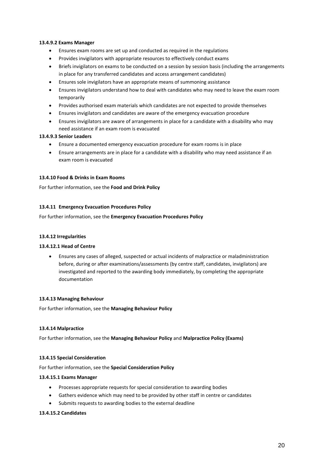## **13.4.9.2 Exams Manager**

- Ensures exam rooms are set up and conducted as required in the regulations
- Provides invigilators with appropriate resources to effectively conduct exams
- Briefs invigilators on exams to be conducted on a session by session basis (including the arrangements in place for any transferred candidates and access arrangement candidates)
- Ensures sole invigilators have an appropriate means of summoning assistance
- Ensures invigilators understand how to deal with candidates who may need to leave the exam room temporarily
- Provides authorised exam materials which candidates are not expected to provide themselves
- Ensures invigilators and candidates are aware of the emergency evacuation procedure
- Ensures invigilators are aware of arrangements in place for a candidate with a disability who may need assistance if an exam room is evacuated

## **13.4.9.3 Senior Leaders**

- Ensure a documented emergency evacuation procedure for exam rooms is in place
- Ensure arrangements are in place for a candidate with a disability who may need assistance if an exam room is evacuated

## **13.4.10 Food & Drinks in Exam Rooms**

For further information, see the **Food and Drink Policy**

## **13.4.11 Emergency Evacuation Procedures Policy**

For further information, see the **Emergency Evacuation Procedures Policy**

## **13.4.12 Irregularities**

## **13.4.12.1 Head of Centre**

 Ensures any cases of alleged, suspected or actual incidents of malpractice or maladministration before, during or after examinations/assessments (by centre staff, candidates, invigilators) are investigated and reported to the awarding body immediately, by completing the appropriate documentation

## **13.4.13 Managing Behaviour**

For further information, see the **Managing Behaviour Policy**

## **13.4.14 Malpractice**

For further information, see the **Managing Behaviour Policy** and **Malpractice Policy (Exams)**

## **13.4.15 Special Consideration**

For further information, see the **Special Consideration Policy**

## **13.4.15.1 Exams Manager**

- Processes appropriate requests for special consideration to awarding bodies
- Gathers evidence which may need to be provided by other staff in centre or candidates
- Submits requests to awarding bodies to the external deadline

## **13.4.15.2 Candidates**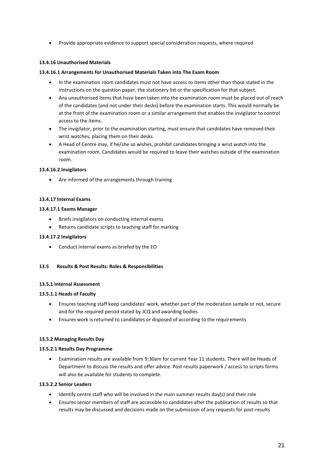Provide appropriate evidence to support special consideration requests, where required

## **13.4.16 Unauthorised Materials**

## **13.4.16.1 Arrangements for Unauthorised Materials Taken into The Exam Room**

- In the examination room candidates must not have access to items other than those stated in the instructions on the question paper, the stationery list or the specification for that subject.
- Any unauthorised items that have been taken into the examination room must be placed out of reach of the candidates (and not under their desks) before the examination starts. This would normally be at the front of the examination room or a similar arrangement that enables the invigilator to control access to the items.
- The invigilator, prior to the examination starting, must ensure that candidates have removed their wrist watches, placing them on their desks.
- A Head of Centre may, if he/she so wishes, prohibit candidates bringing a wrist watch into the examination room. Candidates would be required to leave their watches outside of the examination room.

## **13.4.16.2 Invigilators**

Are informed of the arrangements through training

## **13.4.17 Internal Exams**

#### **13.4.17.1 Exams Manager**

- Briefs invigilators on conducting internal exams
- Returns candidate scripts to teaching staff for marking

## **13.4.17.2 Invigilators**

Conduct internal exams as briefed by the EO

## **13.5 Results & Post Results: Roles & Responsibilities**

## **13.5.1 Internal Assessment**

## **13.5.1.1 Heads of Faculty**

- Ensures teaching staff keep candidates' work, whether part of the moderation sample or not, secure and for the required period stated by JCQ and awarding bodies
- Ensures work is returned to candidates or disposed of according to the requirements

## **13.5.2 Managing Results Day**

## **13.5.2.1 Results Day Programme**

 Examination results are available from 9:30am for current Year 11 students. There will be Heads of Department to discuss the results and offer advice. Post results paperwork / access to scripts forms will also be available for students to complete.

## **13.5.2.2 Senior Leaders**

- Identify centre staff who will be involved in the main summer results day(s) and their role
- Ensures senior members of staff are accessible to candidates after the publication of results so that results may be discussed and decisions made on the submission of any requests for post-results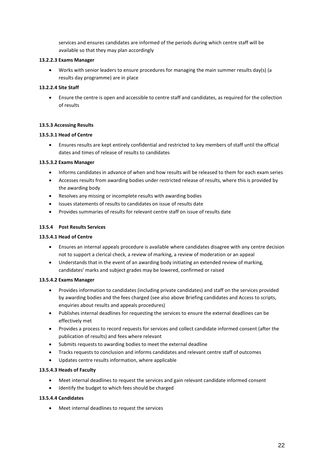services and ensures candidates are informed of the periods during which centre staff will be available so that they may plan accordingly

## **13.2.2.3 Exams Manager**

 Works with senior leaders to ensure procedures for managing the main summer results day(s) (a results day programme) are in place

## **13.2.2.4 Site Staff**

 Ensure the centre is open and accessible to centre staff and candidates, as required for the collection of results

## **13.5.3 Accessing Results**

## **13.5.3.1 Head of Centre**

 Ensures results are kept entirely confidential and restricted to key members of staff until the official dates and times of release of results to candidates

## **13.5.3.2 Exams Manager**

- Informs candidates in advance of when and how results will be released to them for each exam series
- Accesses results from awarding bodies under restricted release of results, where this is provided by the awarding body
- Resolves any missing or incomplete results with awarding bodies
- Issues statements of results to candidates on issue of results date
- Provides summaries of results for relevant centre staff on issue of results date

## **13.5.4 Post Results Services**

## **13.5.4.1 Head of Centre**

- Ensures an internal appeals procedure is available where candidates disagree with any centre decision not to support a clerical check, a review of marking, a review of moderation or an appeal
- Understands that in the event of an awarding body initiating an extended review of marking, candidates' marks and subject grades may be lowered, confirmed or raised

## **13.5.4.2 Exams Manager**

- Provides information to candidates (including private candidates) and staff on the services provided by awarding bodies and the fees charged (see also above Briefing candidates and Access to scripts, enquiries about results and appeals procedures)
- Publishes internal deadlines for requesting the services to ensure the external deadlines can be effectively met
- Provides a process to record requests for services and collect candidate informed consent (after the publication of results) and fees where relevant
- Submits requests to awarding bodies to meet the external deadline
- Tracks requests to conclusion and informs candidates and relevant centre staff of outcomes
- Updates centre results information, where applicable

## **13.5.4.3 Heads of Faculty**

- Meet internal deadlines to request the services and gain relevant candidate informed consent
- $\bullet$  Identify the budget to which fees should be charged

## **13.5.4.4 Candidates**

Meet internal deadlines to request the services